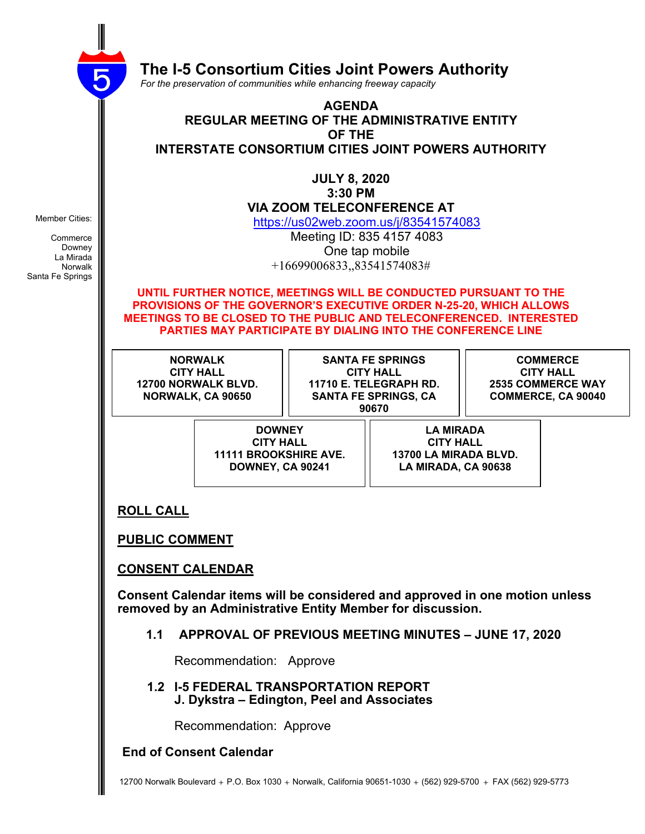

 **The I-5 Consortium Cities Joint Powers Authority**

 *For the preservation of communities while enhancing freeway capacity*

#### **AGENDA REGULAR MEETING OF THE ADMINISTRATIVE ENTITY OF THE INTERSTATE CONSORTIUM CITIES JOINT POWERS AUTHORITY**

**JULY 8, 2020 3:30 PM VIA ZOOM TELECONFERENCE AT**

https://us02web.zoom.us/j/83541574083

Meeting ID: 835 4157 4083 One tap mobile +16699006833,,83541574083#

**UNTIL FURTHER NOTICE, MEETINGS WILL BE CONDUCTED PURSUANT TO THE PROVISIONS OF THE GOVERNOR'S EXECUTIVE ORDER N-25-20, WHICH ALLOWS MEETINGS TO BE CLOSED TO THE PUBLIC AND TELECONFERENCED. INTERESTED PARTIES MAY PARTICIPATE BY DIALING INTO THE CONFERENCE LINE**

**NORWALK CITY HALL 12700 NORWALK BLVD. NORWALK, CA 90650**

**SANTA FE SPRINGS CITY HALL 11710 E. TELEGRAPH RD. SANTA FE SPRINGS, CA 90670**

**COMMERCE CITY HALL 2535 COMMERCE WAY COMMERCE, CA 90040**

**DOWNEY CITY HALL 11111 BROOKSHIRE AVE. DOWNEY, CA 90241**

**LA MIRADA CITY HALL 13700 LA MIRADA BLVD. LA MIRADA, CA 90638**

#### **ROLL CALL**

**PUBLIC COMMENT**

#### **CONSENT CALENDAR**

**Consent Calendar items will be considered and approved in one motion unless removed by an Administrative Entity Member for discussion.**

**1.1 APPROVAL OF PREVIOUS MEETING MINUTES – JUNE 17, 2020**

Recommendation: Approve

 **1.2 I-5 FEDERAL TRANSPORTATION REPORT J. Dykstra – Edington, Peel and Associates**

Recommendation: Approve

**End of Consent Calendar**

Member Cities:

Commerce Downey La Mirada Norwalk Santa Fe Springs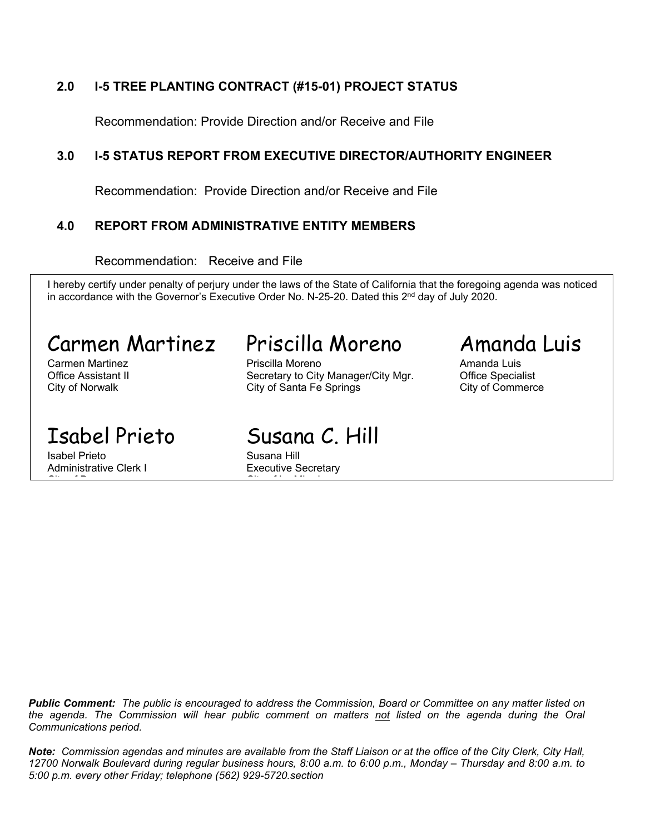### **2.0 I-5 TREE PLANTING CONTRACT (#15-01) PROJECT STATUS**

Recommendation: Provide Direction and/or Receive and File

### **3.0 I-5 STATUS REPORT FROM EXECUTIVE DIRECTOR/AUTHORITY ENGINEER**

Recommendation: Provide Direction and/or Receive and File

### **4.0 REPORT FROM ADMINISTRATIVE ENTITY MEMBERS**

Recommendation: Receive and File

I hereby certify under penalty of perjury under the laws of the State of California that the foregoing agenda was noticed in accordance with the Governor's Executive Order No. N-25-20. Dated this 2<sup>nd</sup> day of July 2020.

# Carmen Martinez Priscilla Moreno Amanda Luis

Isabel Prieto **Susana Hill** Administrative Clerk I Executive Secretary

Carmen Martinez **Amanda Luis** Priscilla Moreno **Amanda Luis** Amanda Luis Office Assistant II **Secretary to City Manager/City Mgr.** Office Specialist City of Norwalk **City of Santa Fe Springs** City of Commerce

Isabel Prieto Susana C. Hill

city of Downey City of La Mirada and Downey City of La Mirada and Downey City of La Mirada and Downey City of <br>The La Mirada and Downey City of La Mirada and Downey City of La Mirada and Downey City of La Mirada and Downey

**Public Comment:** The public is encouraged to address the Commission. Board or Committee on any matter listed on the agenda. The Commission will hear public comment on matters not listed on the agenda during the Oral *Communications period.*

Note: Commission agendas and minutes are available from the Staff Liaison or at the office of the City Clerk, City Hall, 12700 Norwalk Boulevard during regular business hours, 8:00 a.m. to 6:00 p.m., Monday - Thursday and 8:00 a.m. to *5:00 p.m. every other Friday; telephone (562) 929-5720.section*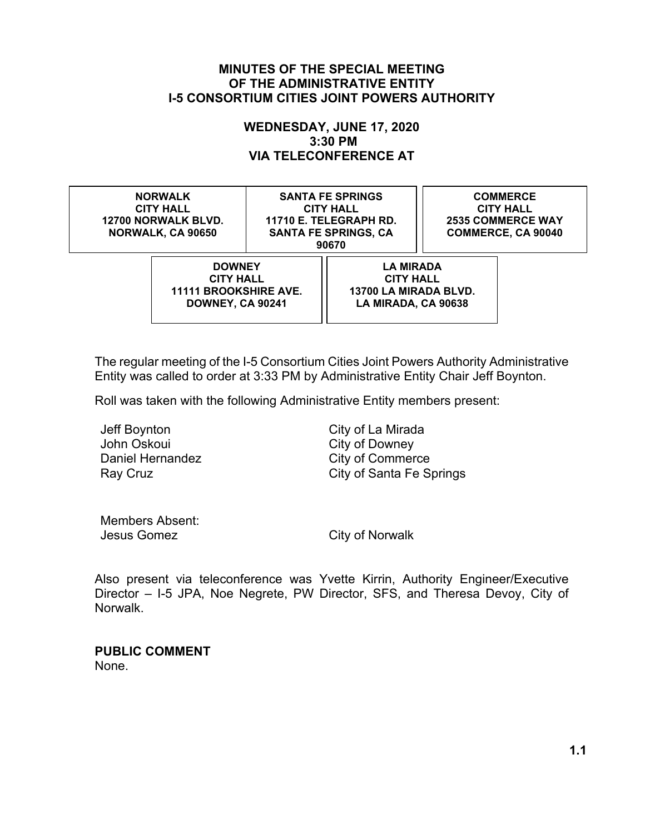#### **MINUTES OF THE SPECIAL MEETING OF THE ADMINISTRATIVE ENTITY I-5 CONSORTIUM CITIES JOINT POWERS AUTHORITY**

#### **WEDNESDAY, JUNE 17, 2020 3:30 PM VIA TELECONFERENCE AT**

**NORWALK CITY HALL 12700 NORWALK BLVD. NORWALK, CA 90650**

**SANTA FE SPRINGS CITY HALL 11710 E. TELEGRAPH RD. SANTA FE SPRINGS, CA 90670**

**COMMERCE CITY HALL 2535 COMMERCE WAY COMMERCE, CA 90040**

**DOWNEY CITY HALL 11111 BROOKSHIRE AVE. DOWNEY, CA 90241**

**LA MIRADA CITY HALL 13700 LA MIRADA BLVD. LA MIRADA, CA 90638**

The regular meeting of the I-5 Consortium Cities Joint Powers Authority Administrative Entity was called to order at 3:33 PM by Administrative Entity Chair Jeff Boynton.

Roll was taken with the following Administrative Entity members present:

Jeff Boynton City of La Mirada John Oskoui **City of Downey** Daniel Hernandez City of Commerce

Ray Cruz **City of Santa Fe Springs** 

Members Absent: Jesus Gomez City of Norwalk

Also present via teleconference was Yvette Kirrin, Authority Engineer/Executive Director – I-5 JPA, Noe Negrete, PW Director, SFS, and Theresa Devoy, City of Norwalk.

**PUBLIC COMMENT** None.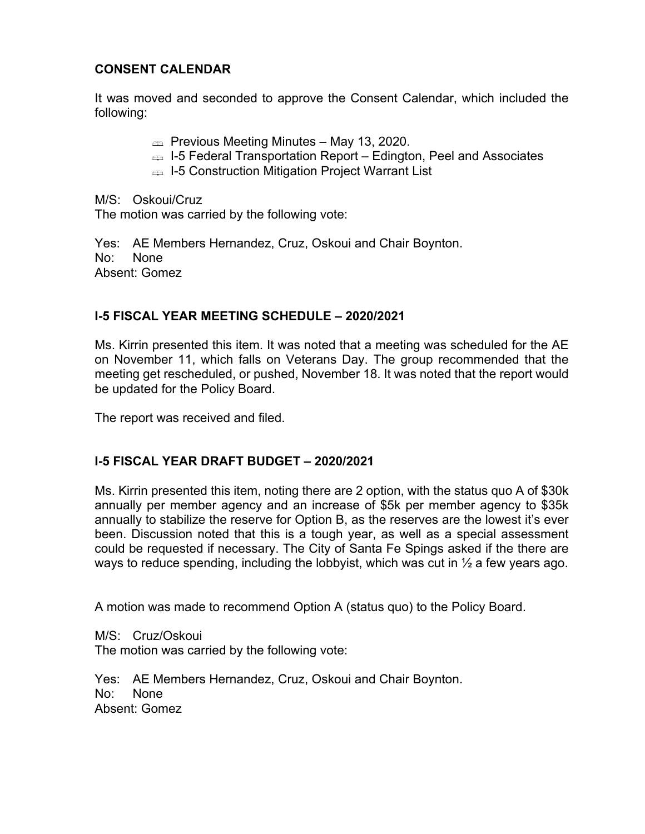### **CONSENT CALENDAR**

It was moved and seconded to approve the Consent Calendar, which included the following:

- $\text{P}$  Previous Meeting Minutes May 13, 2020.
- I-5 Federal Transportation Report Edington, Peel and Associates
- **ENDED:** I-5 Construction Mitigation Project Warrant List

M/S: Oskoui/Cruz

The motion was carried by the following vote:

Yes: AE Members Hernandez, Cruz, Oskoui and Chair Boynton. No: None Absent: Gomez

#### **I-5 FISCAL YEAR MEETING SCHEDULE – 2020/2021**

Ms. Kirrin presented this item. It was noted that a meeting was scheduled for the AE on November 11, which falls on Veterans Day. The group recommended that the meeting get rescheduled, or pushed, November 18. It was noted that the report would be updated for the Policy Board.

The report was received and filed.

#### **I-5 FISCAL YEAR DRAFT BUDGET – 2020/2021**

Ms. Kirrin presented this item, noting there are 2 option, with the status quo A of \$30k annually per member agency and an increase of \$5k per member agency to \$35k annually to stabilize the reserve for Option B, as the reserves are the lowest it's ever been. Discussion noted that this is a tough year, as well as a special assessment could be requested if necessary. The City of Santa Fe Spings asked if the there are ways to reduce spending, including the lobbyist, which was cut in  $\frac{1}{2}$  a few years ago.

A motion was made to recommend Option A (status quo) to the Policy Board.

M/S: Cruz/Oskoui The motion was carried by the following vote:

Yes: AE Members Hernandez, Cruz, Oskoui and Chair Boynton. No: None Absent: Gomez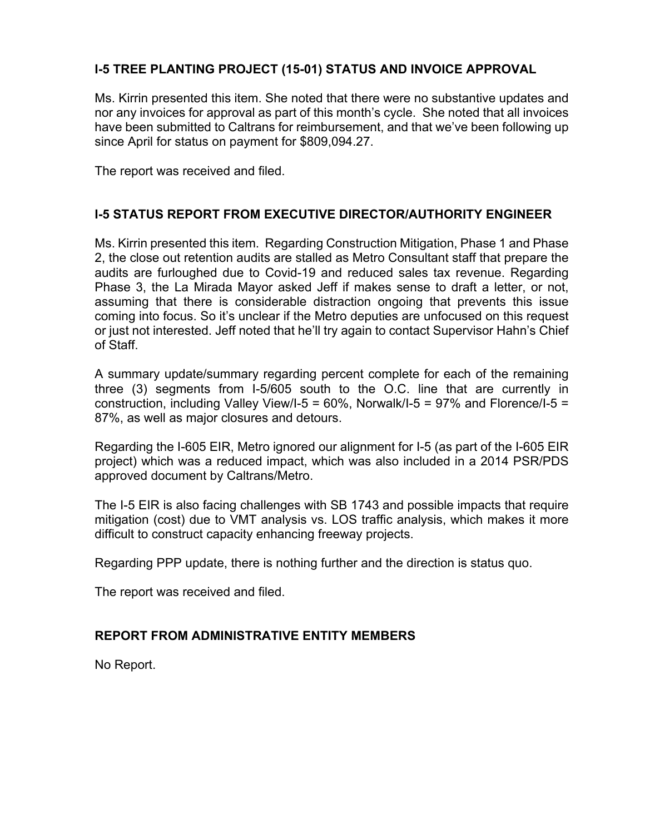#### **I-5 TREE PLANTING PROJECT (15-01) STATUS AND INVOICE APPROVAL**

Ms. Kirrin presented this item. She noted that there were no substantive updates and nor any invoices for approval as part of this month's cycle. She noted that all invoices have been submitted to Caltrans for reimbursement, and that we've been following up since April for status on payment for \$809,094.27.

The report was received and filed.

#### **I-5 STATUS REPORT FROM EXECUTIVE DIRECTOR/AUTHORITY ENGINEER**

Ms. Kirrin presented this item. Regarding Construction Mitigation, Phase 1 and Phase 2, the close out retention audits are stalled as Metro Consultant staff that prepare the audits are furloughed due to Covid-19 and reduced sales tax revenue. Regarding Phase 3, the La Mirada Mayor asked Jeff if makes sense to draft a letter, or not, assuming that there is considerable distraction ongoing that prevents this issue coming into focus. So it's unclear if the Metro deputies are unfocused on this request or just not interested. Jeff noted that he'll try again to contact Supervisor Hahn's Chief of Staff.

A summary update/summary regarding percent complete for each of the remaining three (3) segments from I-5/605 south to the O.C. line that are currently in construction, including Valley View/I-5 = 60%, Norwalk/I-5 = 97% and Florence/I-5 = 87%, as well as major closures and detours.

Regarding the I-605 EIR, Metro ignored our alignment for I-5 (as part of the I-605 EIR project) which was a reduced impact, which was also included in a 2014 PSR/PDS approved document by Caltrans/Metro.

The I-5 EIR is also facing challenges with SB 1743 and possible impacts that require mitigation (cost) due to VMT analysis vs. LOS traffic analysis, which makes it more difficult to construct capacity enhancing freeway projects.

Regarding PPP update, there is nothing further and the direction is status quo.

The report was received and filed.

#### **REPORT FROM ADMINISTRATIVE ENTITY MEMBERS**

No Report.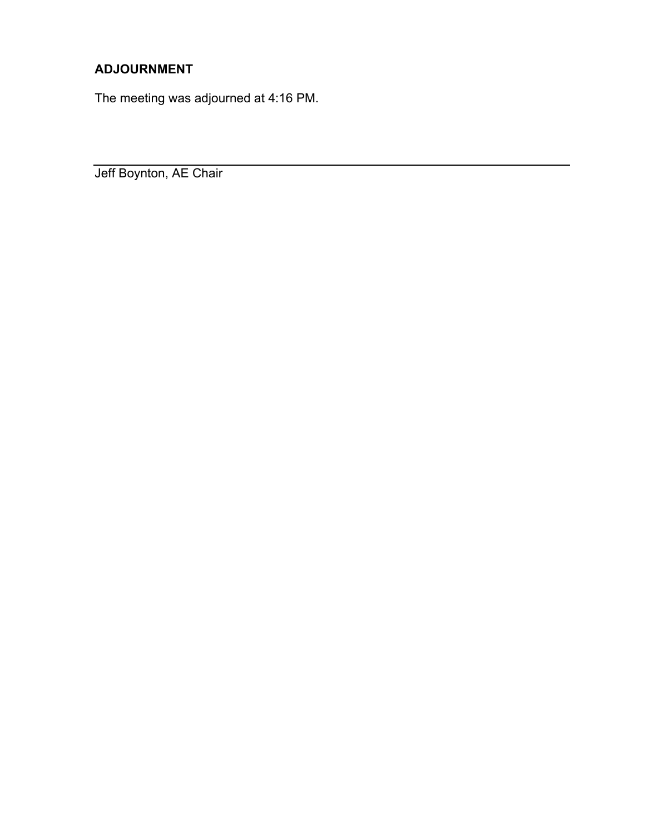## **ADJOURNMENT**

The meeting was adjourned at 4:16 PM.

Jeff Boynton, AE Chair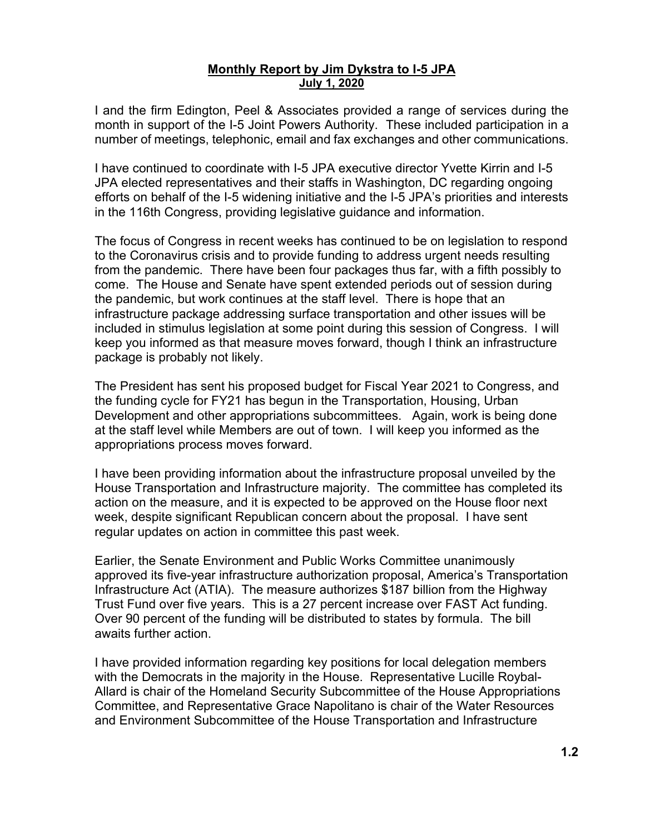#### **Monthly Report by Jim Dykstra to I-5 JPA July 1, 2020**

I and the firm Edington, Peel & Associates provided a range of services during the month in support of the I-5 Joint Powers Authority. These included participation in a number of meetings, telephonic, email and fax exchanges and other communications.

I have continued to coordinate with I-5 JPA executive director Yvette Kirrin and I-5 JPA elected representatives and their staffs in Washington, DC regarding ongoing efforts on behalf of the I-5 widening initiative and the I-5 JPA's priorities and interests in the 116th Congress, providing legislative guidance and information.

The focus of Congress in recent weeks has continued to be on legislation to respond to the Coronavirus crisis and to provide funding to address urgent needs resulting from the pandemic. There have been four packages thus far, with a fifth possibly to come. The House and Senate have spent extended periods out of session during the pandemic, but work continues at the staff level. There is hope that an infrastructure package addressing surface transportation and other issues will be included in stimulus legislation at some point during this session of Congress. I will keep you informed as that measure moves forward, though I think an infrastructure package is probably not likely.

The President has sent his proposed budget for Fiscal Year 2021 to Congress, and the funding cycle for FY21 has begun in the Transportation, Housing, Urban Development and other appropriations subcommittees. Again, work is being done at the staff level while Members are out of town. I will keep you informed as the appropriations process moves forward.

I have been providing information about the infrastructure proposal unveiled by the House Transportation and Infrastructure majority. The committee has completed its action on the measure, and it is expected to be approved on the House floor next week, despite significant Republican concern about the proposal. I have sent regular updates on action in committee this past week.

Earlier, the Senate Environment and Public Works Committee unanimously approved its five-year infrastructure authorization proposal, America's Transportation Infrastructure Act (ATIA). The measure authorizes \$187 billion from the Highway Trust Fund over five years. This is a 27 percent increase over FAST Act funding. Over 90 percent of the funding will be distributed to states by formula. The bill awaits further action.

I have provided information regarding key positions for local delegation members with the Democrats in the majority in the House. Representative Lucille Roybal-Allard is chair of the Homeland Security Subcommittee of the House Appropriations Committee, and Representative Grace Napolitano is chair of the Water Resources and Environment Subcommittee of the House Transportation and Infrastructure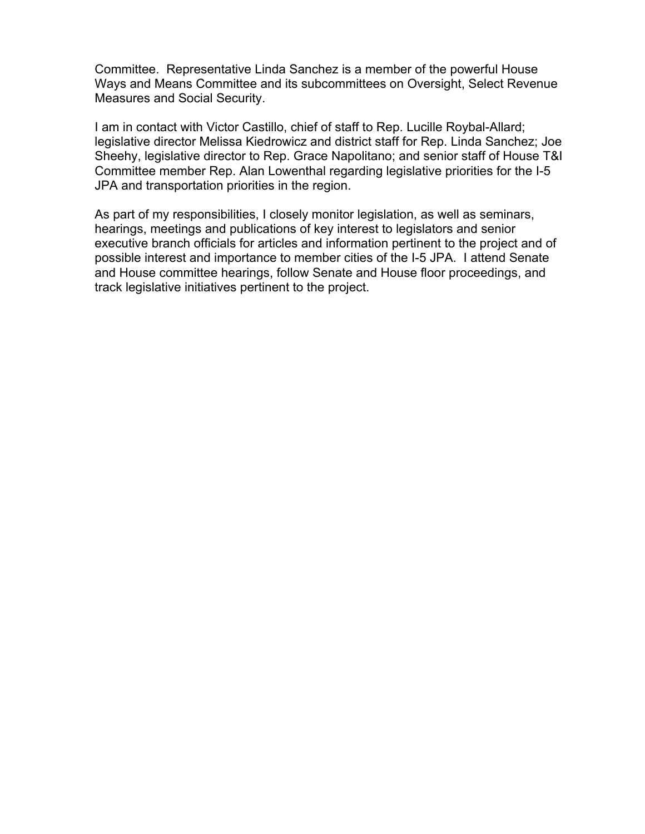Committee. Representative Linda Sanchez is a member of the powerful House Ways and Means Committee and its subcommittees on Oversight, Select Revenue Measures and Social Security.

I am in contact with Victor Castillo, chief of staff to Rep. Lucille Roybal-Allard; legislative director Melissa Kiedrowicz and district staff for Rep. Linda Sanchez; Joe Sheehy, legislative director to Rep. Grace Napolitano; and senior staff of House T&I Committee member Rep. Alan Lowenthal regarding legislative priorities for the I-5 JPA and transportation priorities in the region.

As part of my responsibilities, I closely monitor legislation, as well as seminars, hearings, meetings and publications of key interest to legislators and senior executive branch officials for articles and information pertinent to the project and of possible interest and importance to member cities of the I-5 JPA. I attend Senate and House committee hearings, follow Senate and House floor proceedings, and track legislative initiatives pertinent to the project.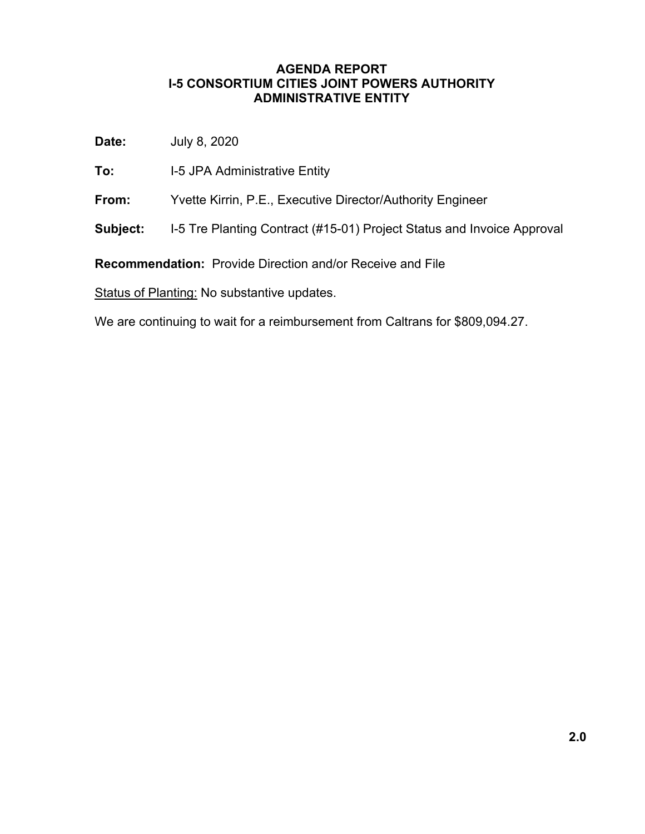#### **AGENDA REPORT I-5 CONSORTIUM CITIES JOINT POWERS AUTHORITY ADMINISTRATIVE ENTITY**

**Date:** July 8, 2020

- **To:** I-5 JPA Administrative Entity
- **From:** Yvette Kirrin, P.E., Executive Director/Authority Engineer
- **Subject:** I-5 Tre Planting Contract (#15-01) Project Status and Invoice Approval

**Recommendation:** Provide Direction and/or Receive and File

Status of Planting: No substantive updates.

We are continuing to wait for a reimbursement from Caltrans for \$809,094.27.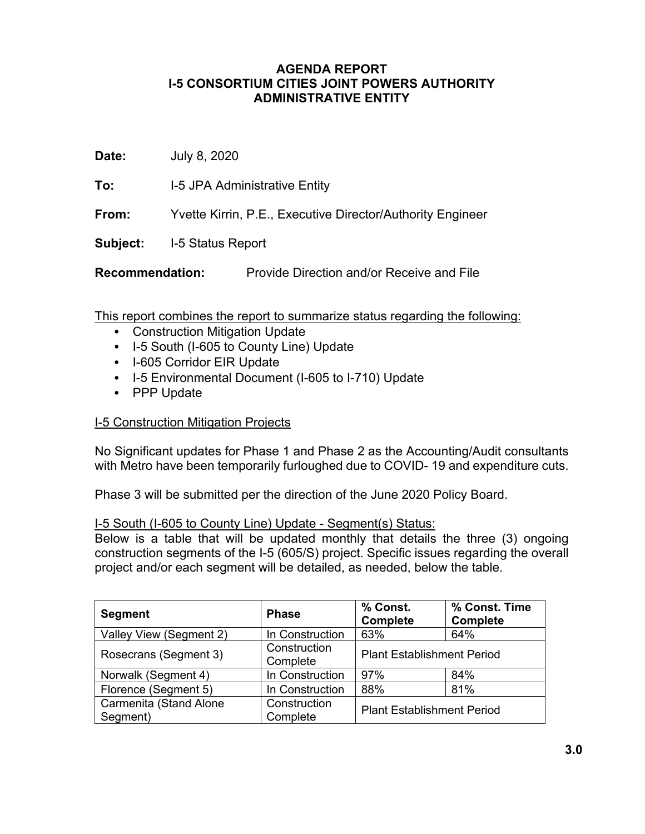#### **AGENDA REPORT I-5 CONSORTIUM CITIES JOINT POWERS AUTHORITY ADMINISTRATIVE ENTITY**

**Date:** July 8, 2020

**To:** I-5 JPA Administrative Entity

**From:** Yvette Kirrin, P.E., Executive Director/Authority Engineer

**Subject:** I-5 Status Report

**Recommendation:** Provide Direction and/or Receive and File

This report combines the report to summarize status regarding the following:

- Construction Mitigation Update
- I-5 South (I-605 to County Line) Update
- I-605 Corridor EIR Update
- I-5 Environmental Document (I-605 to I-710) Update
- PPP Update

#### I-5 Construction Mitigation Projects

No Significant updates for Phase 1 and Phase 2 as the Accounting/Audit consultants with Metro have been temporarily furloughed due to COVID- 19 and expenditure cuts.

Phase 3 will be submitted per the direction of the June 2020 Policy Board.

#### I-5 South (I-605 to County Line) Update - Segment(s) Status:

Below is a table that will be updated monthly that details the three (3) ongoing construction segments of the I-5 (605/S) project. Specific issues regarding the overall project and/or each segment will be detailed, as needed, below the table.

| <b>Segment</b>                     | <b>Phase</b>             | % Const.<br><b>Complete</b>       | % Const. Time<br><b>Complete</b> |
|------------------------------------|--------------------------|-----------------------------------|----------------------------------|
| Valley View (Segment 2)            | In Construction          | 63%                               | 64%                              |
| Rosecrans (Segment 3)              | Construction<br>Complete | <b>Plant Establishment Period</b> |                                  |
| Norwalk (Segment 4)                | In Construction          | 97%                               | 84%                              |
| Florence (Segment 5)               | In Construction          | 88%                               | 81%                              |
| Carmenita (Stand Alone<br>Segment) | Construction<br>Complete | <b>Plant Establishment Period</b> |                                  |